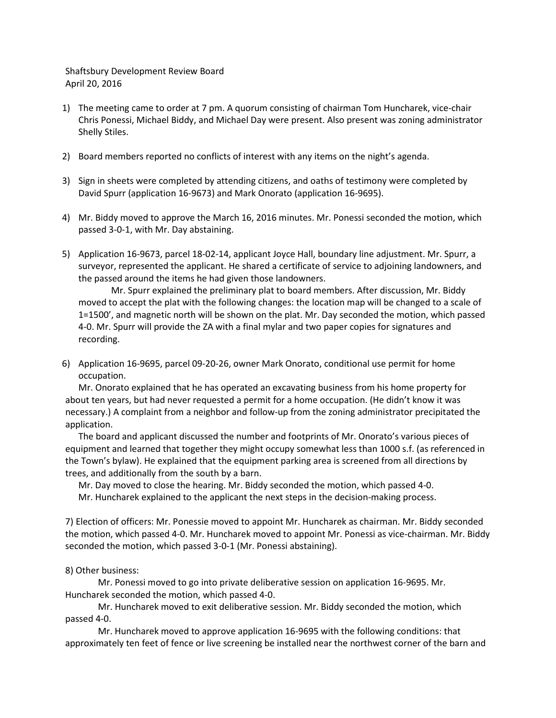Shaftsbury Development Review Board April 20, 2016

- 1) The meeting came to order at 7 pm. A quorum consisting of chairman Tom Huncharek, vice-chair Chris Ponessi, Michael Biddy, and Michael Day were present. Also present was zoning administrator Shelly Stiles.
- 2) Board members reported no conflicts of interest with any items on the night's agenda.
- 3) Sign in sheets were completed by attending citizens, and oaths of testimony were completed by David Spurr (application 16-9673) and Mark Onorato (application 16-9695).
- 4) Mr. Biddy moved to approve the March 16, 2016 minutes. Mr. Ponessi seconded the motion, which passed 3-0-1, with Mr. Day abstaining.
- 5) Application 16-9673, parcel 18-02-14, applicant Joyce Hall, boundary line adjustment. Mr. Spurr, a surveyor, represented the applicant. He shared a certificate of service to adjoining landowners, and the passed around the items he had given those landowners.

Mr. Spurr explained the preliminary plat to board members. After discussion, Mr. Biddy moved to accept the plat with the following changes: the location map will be changed to a scale of 1=1500', and magnetic north will be shown on the plat. Mr. Day seconded the motion, which passed 4-0. Mr. Spurr will provide the ZA with a final mylar and two paper copies for signatures and recording.

6) Application 16-9695, parcel 09-20-26, owner Mark Onorato, conditional use permit for home occupation.

Mr. Onorato explained that he has operated an excavating business from his home property for about ten years, but had never requested a permit for a home occupation. (He didn't know it was necessary.) A complaint from a neighbor and follow-up from the zoning administrator precipitated the application.

The board and applicant discussed the number and footprints of Mr. Onorato's various pieces of equipment and learned that together they might occupy somewhat less than 1000 s.f. (as referenced in the Town's bylaw). He explained that the equipment parking area is screened from all directions by trees, and additionally from the south by a barn.

Mr. Day moved to close the hearing. Mr. Biddy seconded the motion, which passed 4-0. Mr. Huncharek explained to the applicant the next steps in the decision-making process.

7) Election of officers: Mr. Ponessie moved to appoint Mr. Huncharek as chairman. Mr. Biddy seconded the motion, which passed 4-0. Mr. Huncharek moved to appoint Mr. Ponessi as vice-chairman. Mr. Biddy seconded the motion, which passed 3-0-1 (Mr. Ponessi abstaining).

## 8) Other business:

Mr. Ponessi moved to go into private deliberative session on application 16-9695. Mr. Huncharek seconded the motion, which passed 4-0.

Mr. Huncharek moved to exit deliberative session. Mr. Biddy seconded the motion, which passed 4-0.

Mr. Huncharek moved to approve application 16-9695 with the following conditions: that approximately ten feet of fence or live screening be installed near the northwest corner of the barn and